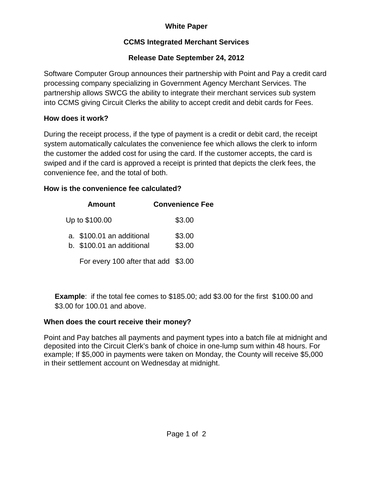# **White Paper**

## **CCMS Integrated Merchant Services**

## **Release Date September 24, 2012**

Software Computer Group announces their partnership with Point and Pay a credit card processing company specializing in Government Agency Merchant Services. The partnership allows SWCG the ability to integrate their merchant services sub system into CCMS giving Circuit Clerks the ability to accept credit and debit cards for Fees.

#### **How does it work?**

During the receipt process, if the type of payment is a credit or debit card, the receipt system automatically calculates the convenience fee which allows the clerk to inform the customer the added cost for using the card. If the customer accepts, the card is swiped and if the card is approved a receipt is printed that depicts the clerk fees, the convenience fee, and the total of both.

## **How is the convenience fee calculated?**

| Amount                                                 | <b>Convenience Fee</b> |
|--------------------------------------------------------|------------------------|
| Up to \$100.00                                         | \$3.00                 |
| a. \$100.01 an additional<br>b. \$100.01 an additional | \$3.00<br>\$3.00       |
| For every 100 after that add \$3.00                    |                        |

**Example:** if the total fee comes to \$185.00; add \$3.00 for the first \$100.00 and \$3.00 for 100.01 and above.

## **When does the court receive their money?**

Point and Pay batches all payments and payment types into a batch file at midnight and deposited into the Circuit Clerk's bank of choice in one-lump sum within 48 hours. For example; If \$5,000 in payments were taken on Monday, the County will receive \$5,000 in their settlement account on Wednesday at midnight.